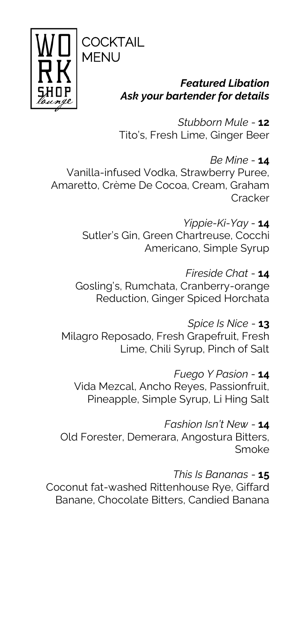

# **CKTAIL MENU**

### **Featured Libation** Ask your bartender for details

Stubborn Mule - 12 Tito's, Fresh Lime, Ginger Beer

Be Mine  $-14$ Vanilla-infused Vodka, Strawberry Puree, Amaretto, Crème De Cocoa, Cream, Graham Cracker

> Yippie-Ki-Yav - 14 Sutler's Gin. Green Chartreuse, Cocchi Americano, Simple Syrup

Fireside Chat - 14 Gosling's, Rumchata, Cranberry-orange Reduction, Ginger Spiced Horchata

Spice Is Nice - 13 Milagro Reposado, Fresh Grapefruit, Fresh Lime, Chili Syrup, Pinch of Salt

Fuego Y Pasion - 14 Vida Mezcal, Ancho Reyes, Passionfruit, Pineapple, Simple Syrup, Li Hing Salt

Fashion Isn't New - 14 Old Forester, Demerara, Angostura Bitters, Smoke

This Is Bananas - 15 Coconut fat-washed Rittenhouse Rye, Giffard Banane, Chocolate Bitters, Candied Banana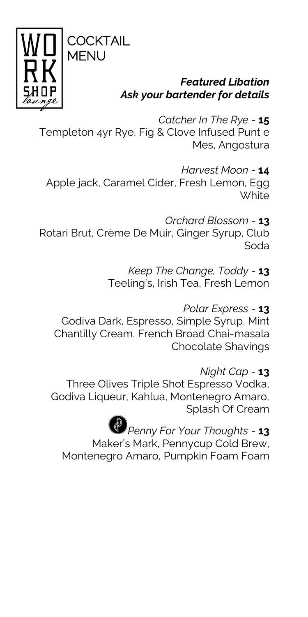



### **Featured Libation** Ask your bartender for details

Catcher In The Rve - 15 Templeton 4yr Rye, Fig & Clove Infused Punt e Mes, Angostura

Harvest Moon - 14 Apple jack, Caramel Cider, Fresh Lemon, Egg **White** 

Orchard Blossom - 13 Rotari Brut, Crème De Muir, Ginger Syrup, Club Soda

> Keep The Change, Toddy - 13 Teeling's, Irish Tea, Fresh Lemon

Polar Express - 13 Godiva Dark, Espresso, Simple Syrup, Mint Chantilly Cream, French Broad Chai-masala **Chocolate Shavings** 

Night Cap - 13 Three Olives Triple Shot Espresso Vodka, Godiva Liqueur, Kahlua, Montenegro Amaro, Splash Of Cream

Penny For Your Thoughts - 13 Maker's Mark, Pennycup Cold Brew, Montenegro Amaro, Pumpkin Foam Foam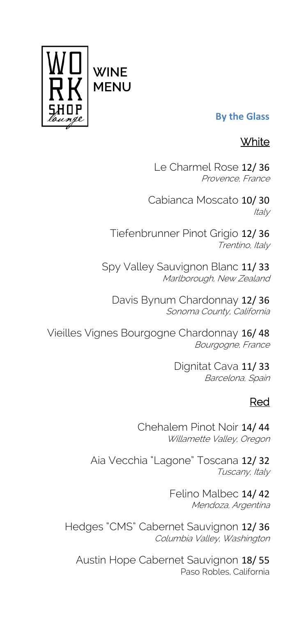

#### **By the Glass**

## **White**

Le Charmel Rose 12/ 36 Provence, France

Cabianca Moscato 10/ 30 **Italy** 

Tiefenbrunner Pinot Grigio 12/ 36 Trentino, Italy

Spy Valley Sauvignon Blanc 11/ 33 Marlborough, New Zealand

Davis Bynum Chardonnay 12/ 36 Sonoma County, California

Vieilles Vignes Bourgogne Chardonnay 16/ 48 Bourgogne, France

> Dignitat Cava 11/ 33 Barcelona, Spain

# Red

Chehalem Pinot Noir 14/ 44 Willamette Valley, Oregon

Aia Vecchia "Lagone" Toscana 12/ 32 Tuscany, Italy

> Felino Malbec 14/ 42 Mendoza, Argentina

Hedges "CMS" Cabernet Sauvignon 12/ 36 Columbia Valley, Washington

Austin Hope Cabernet Sauvignon 18/ 55 Paso Robles, California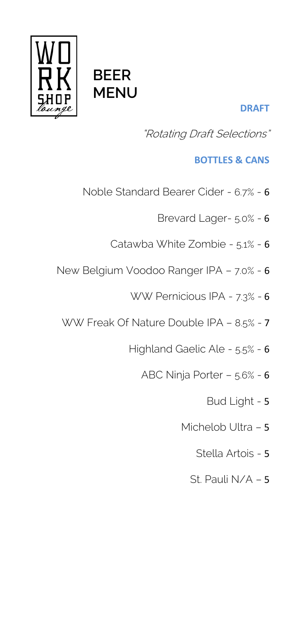

# **BEER MENU**

### **DRAFT**

"Rotating Draft Selections"

### **BOTTLES & CANS**

- Noble Standard Bearer Cider 6.7% 6
	- Brevard Lager- 5.0% 6
	- Catawba White Zombie 5.1% 6
- New Belgium Voodoo Ranger IPA 7.0% 6
	- WW Pernicious IPA 7.3% 6
	- WW Freak Of Nature Double IPA 8.5% 7
		- Highland Gaelic Ale 5.5% 6
			- ABC Ninja Porter 5.6% 6
				- Bud Light 5
				- Michelob Ultra 5
					- Stella Artois 5
					- St. Pauli N/A 5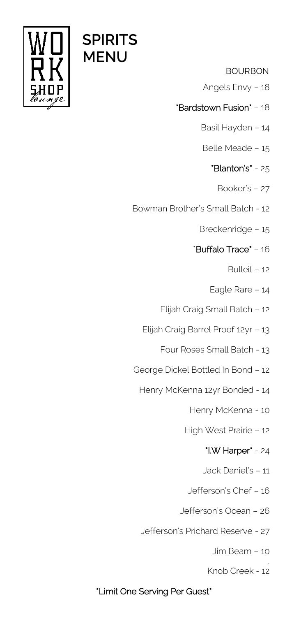

#### **BOURBON**

- Angels Envy 18
- \*Bardstown Fusion\* 18
	- Basil Hayden 14
	- Belle Meade 15
		- \*Blanton's\* 25
			- Booker's 27
- Bowman Brother's Small Batch 12
	- Breckenridge 15
	- \*Buffalo Trace\* 16
		- Bulleit 12
		- Eagle Rare 14
	- Elijah Craig Small Batch 12
	- Elijah Craig Barrel Proof 12yr 13
		- Four Roses Small Batch 13
- George Dickel Bottled In Bond 12
	- Henry McKenna 12yr Bonded 14
		- Henry McKenna 10
		- High West Prairie 12

#### \*I.W Harper\* - 24

- Jack Daniel's 11
- Jefferson's Chef 16
- Jefferson's Ocean 26
- Jefferson's Prichard Reserve 27
	- Jim Beam 10
	- . Knob Creek - 12

#### \*Limit One Serving Per Guest\*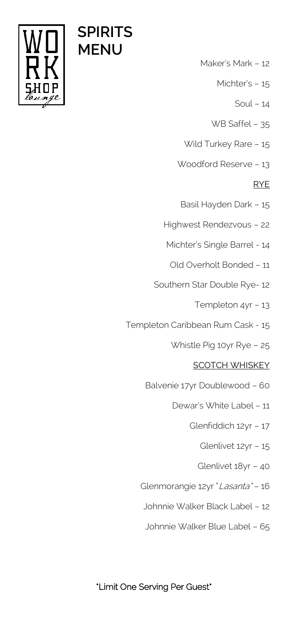

- Maker's Mark 12
	- Michter's 15
		- Soul 14
	- WB Saffel 35
- Wild Turkey Rare 15
- Woodford Reserve 13

#### **RYE**

- Basil Hayden Dark 15
- Highwest Rendezvous 22
	- Michter's Single Barrel 14
		- Old Overholt Bonded 11
- Southern Star Double Rye- 12
	- Templeton 4yr 13
- Templeton Caribbean Rum Cask 15
	- Whistle Pig 10yr Rye 25

#### **SCOTCH WHISKEY**

- Balvenie 17yr Doublewood 60
	- Dewar's White Label 11
		- Glenfiddich 12yr 17
			- Glenlivet 12yr 15
			- Glenlivet 18yr 40
- Glenmorangie 12yr "Lasanta" 16
	- Johnnie Walker Black Label 12
	- Johnnie Walker Blue Label 65



#### \*Limit One Serving Per Guest\*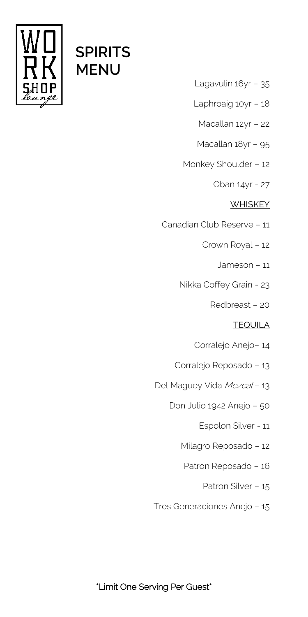

- Lagavulin 16yr 35
- Laphroaig 10yr 18
	- Macallan 12yr 22
	- Macallan 18yr 95
- Monkey Shoulder 12
	- Oban 14yr 27

#### **WHISKEY**

- Canadian Club Reserve 11
	- Crown Royal 12
		- Jameson 11
	- Nikka Coffey Grain 23
		- Redbreast 20

#### **TEQUILA**

- Corralejo Anejo– 14
- Corralejo Reposado 13
- Del Maguey Vida Mezcal 13
	- Don Julio 1942 Anejo 50
		- Espolon Silver 11
		- Milagro Reposado 12
		- Patron Reposado 16
			- Patron Silver 15
- Tres Generaciones Anejo 15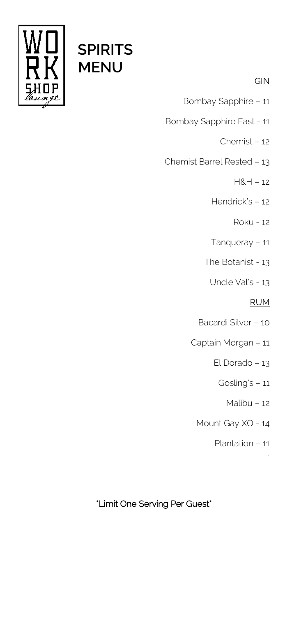

#### **GIN**

- Bombay Sapphire 11
- Bombay Sapphire East 11
	- Chemist 12
- Chemist Barrel Rested 13
	- H&H 12
	- Hendrick's 12
		- Roku 12
	- Tanqueray 11
	- The Botanist 13
		- Uncle Val's 13

#### **RUM**

- Bacardi Silver 10
- Captain Morgan 11
	- El Dorado 13
		- Gosling's 11
			- Malibu 12
	- Mount Gay XO 14
		- Plantation 11

.

### \*Limit One Serving Per Guest\*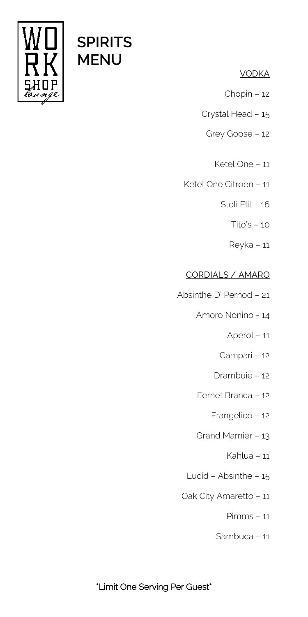

#### **VODKA**

- Chopin 12
- Crystal Head 15
	- Grey Goose 12
		- Ketel One 11
- Ketel One Citroen 11
	- Stoli Elit 16
		- Tito's 10
		- Reyka 11

#### **CORDIALS / AMARO**

- Absinthe D' Pernod 21
	- Amoro Nonino 14
		- Aperol 11
		- Campari 12
		- Drambuie 12
	- Fernet Branca 12
		- Frangelico 12
	- Grand Marnier 13
		- Kahlua 11
	- Lucid Absinthe 15
	- Oak City Amaretto 11
		- Pimms 11
		- Sambuca 11